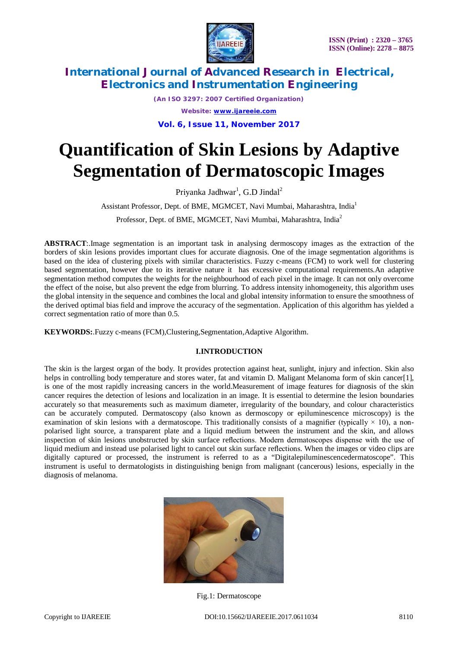

*(An ISO 3297: 2007 Certified Organization) Website: [www.ijareeie.com](http://www.ijareeie.com)* **Vol. 6, Issue 11, November 2017**

# **Quantification of Skin Lesions by Adaptive Segmentation of Dermatoscopic Images**

Priyanka Jadhwar<sup>1</sup>, G.D Jindal<sup>2</sup>

Assistant Professor, Dept. of BME, MGMCET, Navi Mumbai, Maharashtra, India<sup>1</sup>

Professor, Dept. of BME, MGMCET, Navi Mumbai, Maharashtra, India<sup>2</sup>

**ABSTRACT**:.Image segmentation is an important task in analysing dermoscopy images as the extraction of the borders of skin lesions provides important clues for accurate diagnosis. One of the image segmentation algorithms is based on the idea of clustering pixels with similar characteristics. Fuzzy c-means (FCM) to work well for clustering based segmentation, however due to its iterative nature it has excessive computational requirements.An adaptive segmentation method computes the weights for the neighbourhood of each pixel in the image. It can not only overcome the effect of the noise, but also prevent the edge from blurring. To address intensity inhomogeneity, this algorithm uses the global intensity in the sequence and combines the local and global intensity information to ensure the smoothness of the derived optimal bias field and improve the accuracy of the segmentation. Application of this algorithm has yielded a correct segmentation ratio of more than 0.5.

**KEYWORDS:**.Fuzzy c-means (FCM),Clustering,Segmentation,Adaptive Algorithm.

### **I.INTRODUCTION**

The skin is the largest organ of the body. It provides protection against heat, sunlight, injury and infection. Skin also helps in controlling body temperature and stores water, fat and vitamin D. Maligant Melanoma form of skin cancer[1], is one of the most rapidly increasing cancers in the world.Measurement of image features for diagnosis of the skin cancer requires the detection of lesions and localization in an image. It is essential to determine the lesion boundaries accurately so that measurements such as maximum diameter, irregularity of the boundary, and colour characteristics can be accurately computed. Dermatoscopy (also known as dermoscopy or epiluminescence microscopy) is the examination of skin lesions with a dermatoscope. This traditionally consists of a magnifier (typically  $\times$  10), a nonpolarised light source, a transparent plate and a liquid medium between the instrument and the skin, and allows inspection of skin lesions unobstructed by skin surface reflections. Modern dermatoscopes dispense with the use of liquid medium and instead use polarised light to cancel out skin surface reflections. When the images or video clips are digitally captured or processed, the instrument is referred to as a "Digitalepiluminescencedermatoscope". This instrument is useful to dermatologists in distinguishing benign from malignant (cancerous) lesions, especially in the diagnosis of melanoma.



Fig.1: Dermatoscope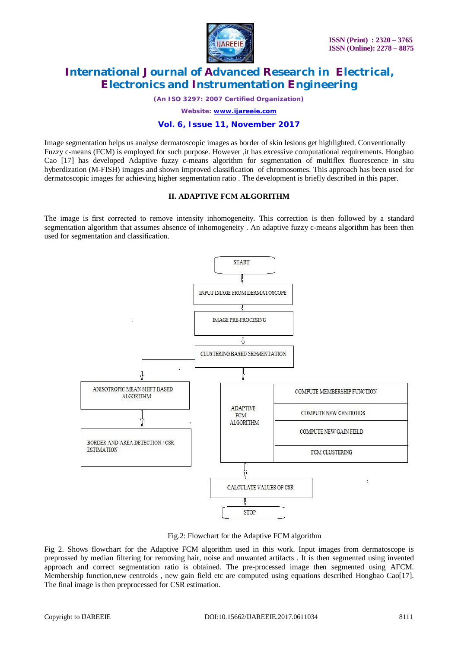

*(An ISO 3297: 2007 Certified Organization)*

*Website: [www.ijareeie.com](http://www.ijareeie.com)*

#### **Vol. 6, Issue 11, November 2017**

Image segmentation helps us analyse dermatoscopic images as border of skin lesions get highlighted. Conventionally Fuzzy c-means (FCM) is employed for such purpose. However ,it has excessive computational requirements. Hongbao Cao [17] has developed Adaptive fuzzy c-means algorithm for segmentation of multiflex fluorescence in situ hyberdization (M-FISH) images and shown improved classification of chromosomes. This approach has been used for dermatoscopic images for achieving higher segmentation ratio . The development is briefly described in this paper.

#### **II. ADAPTIVE FCM ALGORITHM**

The image is first corrected to remove intensity inhomogeneity. This correction is then followed by a standard segmentation algorithm that assumes absence of inhomogeneity . An adaptive fuzzy c-means algorithm has been then used for segmentation and classification.



Fig.2: Flowchart for the Adaptive FCM algorithm

Fig 2. Shows flowchart for the Adaptive FCM algorithm used in this work. Input images from dermatoscope is preprossed by median filtering for removing hair, noise and unwanted artifacts . It is then segmented using invented approach and correct segmentation ratio is obtained. The pre-processed image then segmented using AFCM. Membership function,new centroids, new gain field etc are computed using equations described Hongbao Cao[17]. The final image is then preprocessed for CSR estimation.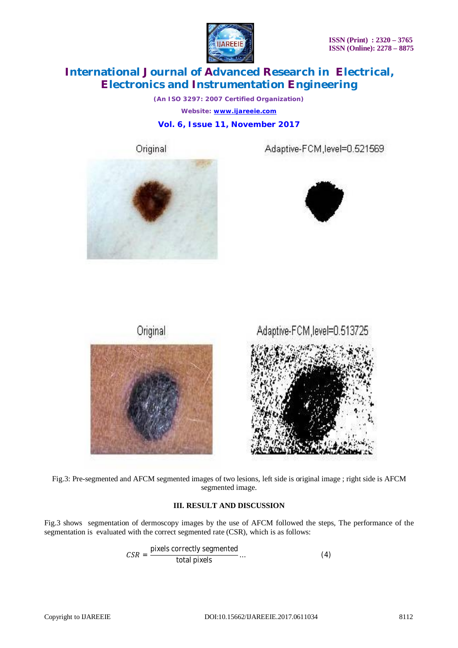

*(An ISO 3297: 2007 Certified Organization) Website: [www.ijareeie.com](http://www.ijareeie.com)* **Vol. 6, Issue 11, November 2017**

Original









Fig.3: Pre-segmented and AFCM segmented images of two lesions, left side is original image ; right side is AFCM segmented image.

### **III. RESULT AND DISCUSSION**

Fig.3 shows segmentation of dermoscopy images by the use of AFCM followed the steps, The performance of the segmentation is evaluated with the correct segmented rate (CSR), which is as follows:

$$
CSR = \frac{\text{pixels correctly segmented}}{\text{total pixels}} \dots \tag{4}
$$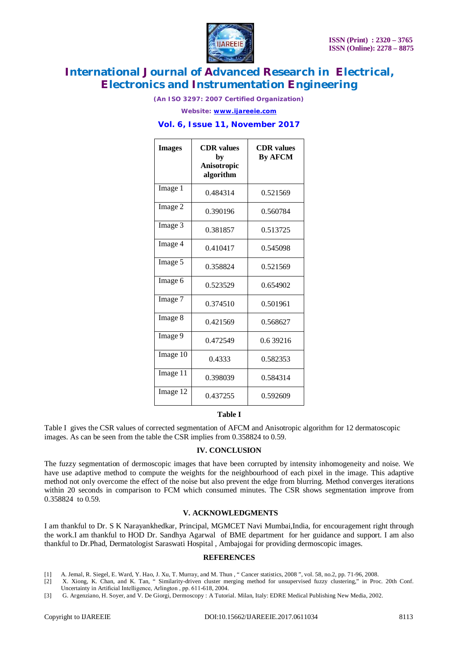

*(An ISO 3297: 2007 Certified Organization)*

*Website: [www.ijareeie.com](http://www.ijareeie.com)*

### **Vol. 6, Issue 11, November 2017**

| <b>Images</b> | <b>CDR</b> values<br>bv<br>Anisotropic<br>algorithm | <b>CDR</b> values<br><b>By AFCM</b> |
|---------------|-----------------------------------------------------|-------------------------------------|
| Image 1       | 0.484314                                            | 0.521569                            |
| Image 2       | 0.390196                                            | 0.560784                            |
| Image 3       | 0.381857                                            | 0.513725                            |
| Image 4       | 0.410417                                            | 0.545098                            |
| Image 5       | 0.358824                                            | 0.521569                            |
| Image 6       | 0.523529                                            | 0.654902                            |
| Image 7       | 0.374510                                            | 0.501961                            |
| Image 8       | 0.421569                                            | 0.568627                            |
| Image 9       | 0.472549                                            | 0.639216                            |
| Image 10      | 0.4333                                              | 0.582353                            |
| Image 11      | 0.398039                                            | 0.584314                            |
| Image 12      | 0.437255                                            | 0.592609                            |

#### **Table I**

Table I gives the CSR values of corrected segmentation of AFCM and Anisotropic algorithm for 12 dermatoscopic images. As can be seen from the table the CSR implies from 0.358824 to 0.59.

### **IV. CONCLUSION**

The fuzzy segmentation of dermoscopic images that have been corrupted by intensity inhomogeneity and noise. We have use adaptive method to compute the weights for the neighbourhood of each pixel in the image. This adaptive method not only overcome the effect of the noise but also prevent the edge from blurring. Method converges iterations within 20 seconds in comparison to FCM which consumed minutes. The CSR shows segmentation improve from 0.358824 to 0.59.

### **V. ACKNOWLEDGMENTS**

I am thankful to Dr. S K Narayankhedkar, Principal, MGMCET Navi Mumbai,India, for encouragement right through the work.I am thankful to HOD Dr. Sandhya Agarwal of BME department for her guidance and support. I am also thankful to Dr.Phad, Dermatologist Saraswati Hospital , Ambajogai for providing dermoscopic images.

#### **REFERENCES**

[1] A. Jemal, R. Siegel, E. Ward, Y. Hao, J. Xu, T. Murray, and M. Thun , " Cancer statistics, 2008 ", vol. 58, no.2, pp. 71-96, 2008.

[2] X. Xiong, K. Chan, and K. Tan, " Similarity-driven cluster merging method for unsupervised fuzzy clustering," in Proc. 20th Conf. Uncertainty in Artificial Intelligence, Arlington , pp. 611-618, 2004.

[3] G. Argenziano, H. Soyer, and V. De Giorgi, Dermoscopy : A Tutorial. Milan, Italy: EDRE Medical Publishing New Media, 2002.